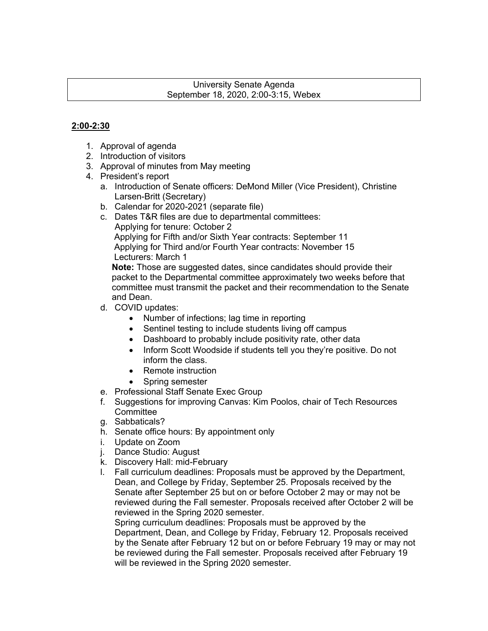#### University Senate Agenda September 18, 2020, 2:00-3:15, Webex

# **2:00-2:30**

- 1. Approval of agenda
- 2. Introduction of visitors
- 3. Approval of minutes from May meeting
- 4. President's report
	- a. Introduction of Senate officers: DeMond Miller (Vice President), Christine Larsen-Britt (Secretary)
	- b. Calendar for 2020-2021 (separate file)
	- c. Dates T&R files are due to departmental committees: Applying for tenure: October 2 Applying for Fifth and/or Sixth Year contracts: September 11 Applying for Third and/or Fourth Year contracts: November 15 Lecturers: March 1

**Note:** Those are suggested dates, since candidates should provide their packet to the Departmental committee approximately two weeks before that committee must transmit the packet and their recommendation to the Senate and Dean.

- d. COVID updates:
	- Number of infections; lag time in reporting
	- Sentinel testing to include students living off campus
	- Dashboard to probably include positivity rate, other data
	- Inform Scott Woodside if students tell you they're positive. Do not inform the class.
	- Remote instruction
	- Spring semester
- e. Professional Staff Senate Exec Group
- f. Suggestions for improving Canvas: Kim Poolos, chair of Tech Resources **Committee**
- g. Sabbaticals?
- h. Senate office hours: By appointment only
- i. Update on Zoom
- j. Dance Studio: August
- k. Discovery Hall: mid-February
- l. Fall curriculum deadlines: Proposals must be approved by the Department, Dean, and College by Friday, September 25. Proposals received by the Senate after September 25 but on or before October 2 may or may not be reviewed during the Fall semester. Proposals received after October 2 will be reviewed in the Spring 2020 semester.

Spring curriculum deadlines: Proposals must be approved by the Department, Dean, and College by Friday, February 12. Proposals received by the Senate after February 12 but on or before February 19 may or may not be reviewed during the Fall semester. Proposals received after February 19 will be reviewed in the Spring 2020 semester.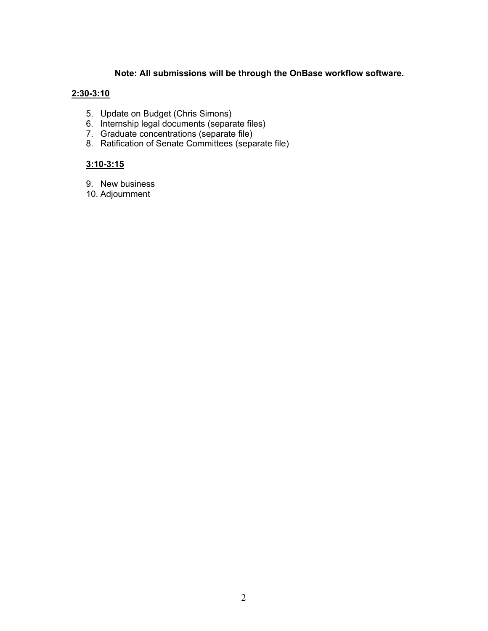## **Note: All submissions will be through the OnBase workflow software.**

### **2:30-3:10**

- 5. Update on Budget (Chris Simons)
- 6. Internship legal documents (separate files)
- 7. Graduate concentrations (separate file)
- 8. Ratification of Senate Committees (separate file)

# **3:10-3:15**

- 9. New business
- 10. Adjournment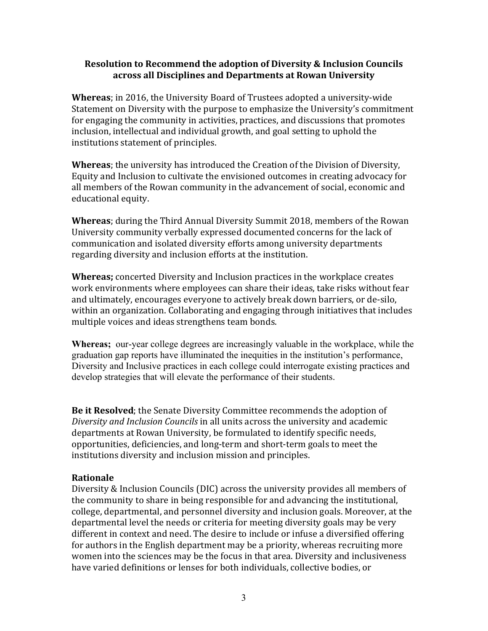## **Resolution to Recommend the adoption of Diversity & Inclusion Councils across all Disciplines and Departments at Rowan University**

**Whereas**; in 2016, the University Board of Trustees adopted a university-wide Statement on Diversity with the purpose to emphasize the University's commitment for engaging the community in activities, practices, and discussions that promotes inclusion, intellectual and individual growth, and goal setting to uphold the institutions statement of principles.

**Whereas**; the university has introduced the Creation of the Division of Diversity, Equity and Inclusion to cultivate the envisioned outcomes in creating advocacy for all members of the Rowan community in the advancement of social, economic and educational equity.

**Whereas**; during the Third Annual Diversity Summit 2018, members of the Rowan University community verbally expressed documented concerns for the lack of communication and isolated diversity efforts among university departments regarding diversity and inclusion efforts at the institution.

**Whereas;** concerted Diversity and Inclusion practices in the workplace creates work environments where employees can share their ideas, take risks without fear and ultimately, encourages everyone to actively break down barriers, or de-silo, within an organization. Collaborating and engaging through initiatives that includes multiple voices and ideas strengthens team bonds.

**Whereas;** our-year college degrees are increasingly valuable in the workplace, while the graduation gap reports have illuminated the inequities in the institution's performance, Diversity and Inclusive practices in each college could interrogate existing practices and develop strategies that will elevate the performance of their students.

**Be it Resolved**; the Senate Diversity Committee recommends the adoption of Diversity and Inclusion Councils in all units across the university and academic departments at Rowan University, be formulated to identify specific needs, opportunities, deficiencies, and long-term and short-term goals to meet the institutions diversity and inclusion mission and principles.

### **Rationale**

Diversity & Inclusion Councils (DIC) across the university provides all members of the community to share in being responsible for and advancing the institutional, college, departmental, and personnel diversity and inclusion goals. Moreover, at the departmental level the needs or criteria for meeting diversity goals may be very different in context and need. The desire to include or infuse a diversified offering for authors in the English department may be a priority, whereas recruiting more women into the sciences may be the focus in that area. Diversity and inclusiveness have varied definitions or lenses for both individuals, collective bodies, or